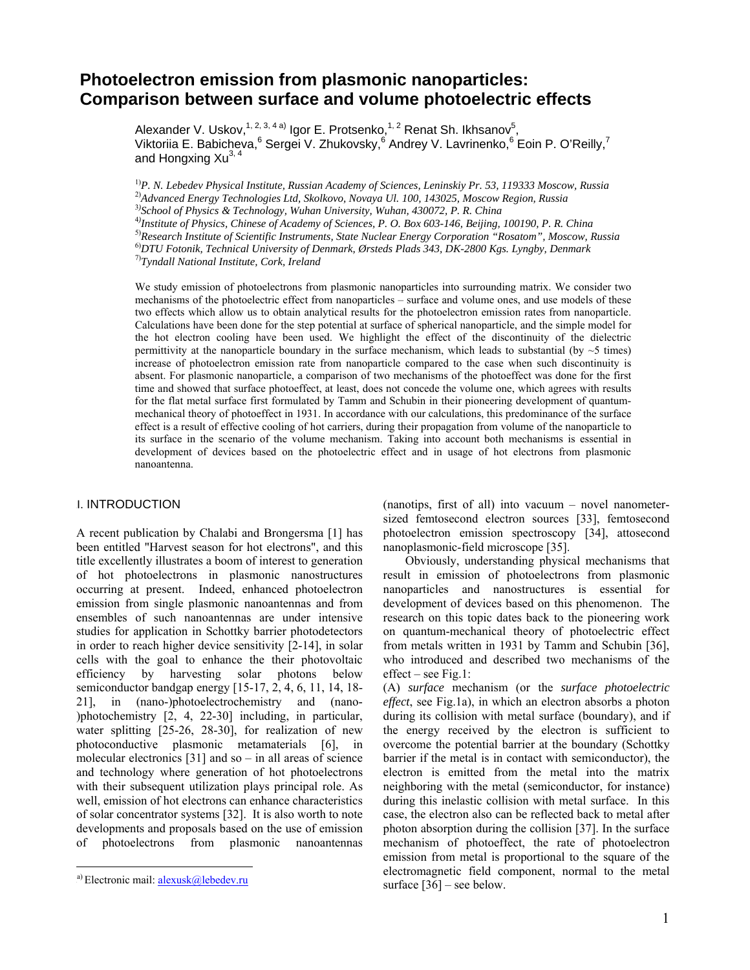# **Photoelectron emission from plasmonic nanoparticles: Comparison between surface and volume photoelectric effects**

Alexander V. Uskov,<sup>1, 2, 3, 4 a)</sup> Igor E. Protsenko,<sup>1, 2</sup> Renat Sh. Ikhsanov<sup>5</sup>, Viktoriia E. Babicheva, <sup>6</sup> Sergei V. Zhukovsky, <sup>6</sup> Andrey V. Lavrinenko, <sup>6</sup> Eoin P. O'Reilly, <sup>7</sup> and Hongxing Xu<sup>3, 4</sup>

1)*P. N. Lebedev Physical Institute, Russian Academy of Sciences, Leninskiy Pr. 53, 119333 Moscow, Russia*  2)*Advanced Energy Technologies Ltd, Skolkovo, Novaya Ul. 100, 143025, Moscow Region, Russia* 3*) School of Physics & Technology, Wuhan University, Wuhan, 430072, P. R. China* 4*)*

*Institute of Physics, Chinese of Academy of Sciences, P. O. Box 603-146, Beijing, 100190, P. R. China* 

5)*Research Institute of Scientific Instruments, State Nuclear Energy Corporation "Rosatom", Moscow, Russia*  6)*DTU Fotonik, Technical University of Denmark, Ørsteds Plads 343, DK-2800 Kgs. Lyngby, Denmark*

7)*Tyndall National Institute, Cork, Ireland*

We study emission of photoelectrons from plasmonic nanoparticles into surrounding matrix. We consider two mechanisms of the photoelectric effect from nanoparticles – surface and volume ones, and use models of these two effects which allow us to obtain analytical results for the photoelectron emission rates from nanoparticle. Calculations have been done for the step potential at surface of spherical nanoparticle, and the simple model for the hot electron cooling have been used. We highlight the effect of the discontinuity of the dielectric permittivity at the nanoparticle boundary in the surface mechanism, which leads to substantial (by  $\sim$  5 times) increase of photoelectron emission rate from nanoparticle compared to the case when such discontinuity is absent. For plasmonic nanoparticle, a comparison of two mechanisms of the photoeffect was done for the first time and showed that surface photoeffect, at least, does not concede the volume one, which agrees with results for the flat metal surface first formulated by Tamm and Schubin in their pioneering development of quantummechanical theory of photoeffect in 1931. In accordance with our calculations, this predominance of the surface effect is a result of effective cooling of hot carriers, during their propagation from volume of the nanoparticle to its surface in the scenario of the volume mechanism. Taking into account both mechanisms is essential in development of devices based on the photoelectric effect and in usage of hot electrons from plasmonic nanoantenna.

# **I. INTRODUCTION**

A recent publication by Chalabi and Brongersma [1] has been entitled "Harvest season for hot electrons", and this title excellently illustrates a boom of interest to generation of hot photoelectrons in plasmonic nanostructures occurring at present. Indeed, enhanced photoelectron emission from single plasmonic nanoantennas and from ensembles of such nanoantennas are under intensive studies for application in Schottky barrier photodetectors in order to reach higher device sensitivity [2-14], in solar cells with the goal to enhance the their photovoltaic efficiency by harvesting solar photons below semiconductor bandgap energy [15-17, 2, 4, 6, 11, 14, 18- 21], in (nano-)photoelectrochemistry and (nano- )photochemistry [2, 4, 22-30] including, in particular, water splitting [25-26, 28-30], for realization of new photoconductive plasmonic metamaterials [6], in molecular electronics  $[31]$  and so – in all areas of science and technology where generation of hot photoelectrons with their subsequent utilization plays principal role. As well, emission of hot electrons can enhance characteristics of solar concentrator systems [32]. It is also worth to note developments and proposals based on the use of emission of photoelectrons from plasmonic nanoantennas

 $\overline{a}$ 

(nanotips, first of all) into vacuum – novel nanometersized femtosecond electron sources [33], femtosecond photoelectron emission spectroscopy [34], attosecond nanoplasmonic-field microscope [35].

Obviously, understanding physical mechanisms that result in emission of photoelectrons from plasmonic nanoparticles and nanostructures is essential for development of devices based on this phenomenon. The research on this topic dates back to the pioneering work on quantum-mechanical theory of photoelectric effect from metals written in 1931 by Tamm and Schubin [36], who introduced and described two mechanisms of the effect – see Fig.1:

(A) *surface* mechanism (or the *surface photoelectric effect*, see Fig.1a), in which an electron absorbs a photon during its collision with metal surface (boundary), and if the energy received by the electron is sufficient to overcome the potential barrier at the boundary (Schottky barrier if the metal is in contact with semiconductor), the electron is emitted from the metal into the matrix neighboring with the metal (semiconductor, for instance) during this inelastic collision with metal surface. In this case, the electron also can be reflected back to metal after photon absorption during the collision [37]. In the surface mechanism of photoeffect, the rate of photoelectron emission from metal is proportional to the square of the electromagnetic field component, normal to the metal surface  $[36]$  – see below.

<sup>&</sup>lt;sup>a)</sup> Electronic mail: **alexusk@lebedev.ru**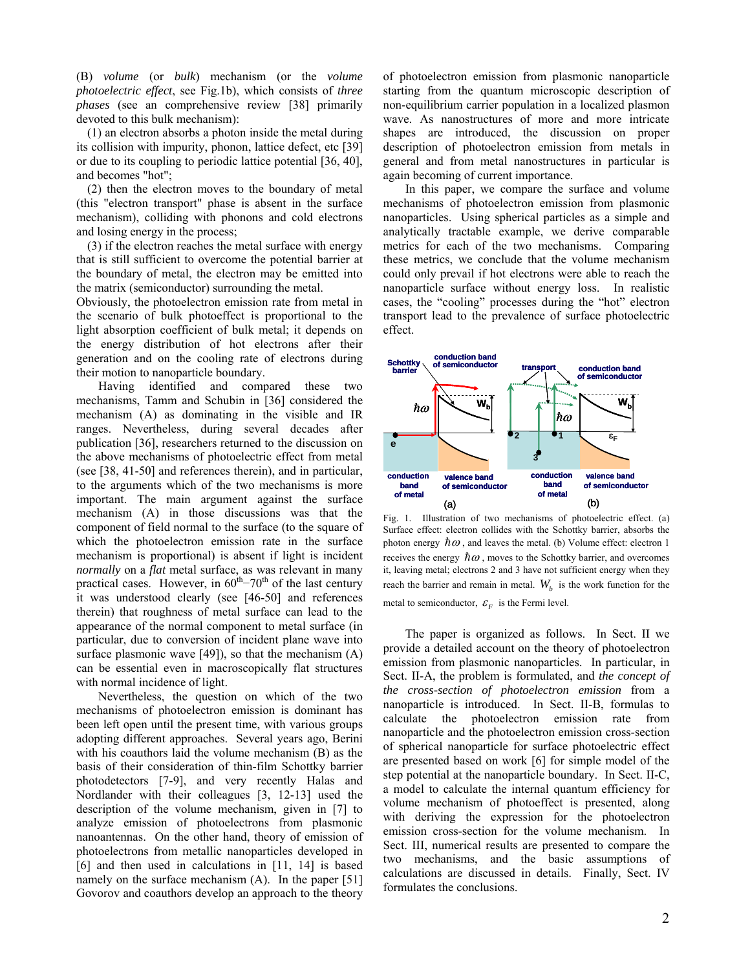(B) *volume* (or *bulk*) mechanism (or the *volume photoelectric effect*, see Fig.1b), which consists of *three phases* (see an comprehensive review [38] primarily devoted to this bulk mechanism):

(1) an electron absorbs a photon inside the metal during its collision with impurity, phonon, lattice defect, etc [39] or due to its coupling to periodic lattice potential [36, 40], and becomes "hot";

(2) then the electron moves to the boundary of metal (this "electron transport" phase is absent in the surface mechanism), colliding with phonons and cold electrons and losing energy in the process;

(3) if the electron reaches the metal surface with energy that is still sufficient to overcome the potential barrier at the boundary of metal, the electron may be emitted into the matrix (semiconductor) surrounding the metal.

Obviously, the photoelectron emission rate from metal in the scenario of bulk photoeffect is proportional to the light absorption coefficient of bulk metal; it depends on the energy distribution of hot electrons after their generation and on the cooling rate of electrons during their motion to nanoparticle boundary.

Having identified and compared these two mechanisms, Tamm and Schubin in [36] considered the mechanism (A) as dominating in the visible and IR ranges. Nevertheless, during several decades after publication [36], researchers returned to the discussion on the above mechanisms of photoelectric effect from metal (see [38, 41-50] and references therein), and in particular, to the arguments which of the two mechanisms is more important. The main argument against the surface mechanism (A) in those discussions was that the component of field normal to the surface (to the square of which the photoelectron emission rate in the surface mechanism is proportional) is absent if light is incident *normally* on a *flat* metal surface, as was relevant in many practical cases. However, in  $60<sup>th</sup>–70<sup>th</sup>$  of the last century it was understood clearly (see [46-50] and references therein) that roughness of metal surface can lead to the appearance of the normal component to metal surface (in particular, due to conversion of incident plane wave into surface plasmonic wave [49]), so that the mechanism (A) can be essential even in macroscopically flat structures with normal incidence of light.

Nevertheless, the question on which of the two mechanisms of photoelectron emission is dominant has been left open until the present time, with various groups adopting different approaches. Several years ago, Berini with his coauthors laid the volume mechanism (B) as the basis of their consideration of thin-film Schottky barrier photodetectors [7-9], and very recently Halas and Nordlander with their colleagues [3, 12-13] used the description of the volume mechanism, given in [7] to analyze emission of photoelectrons from plasmonic nanoantennas. On the other hand, theory of emission of photoelectrons from metallic nanoparticles developed in [6] and then used in calculations in [11, 14] is based namely on the surface mechanism (A). In the paper [51] Govorov and coauthors develop an approach to the theory of photoelectron emission from plasmonic nanoparticle starting from the quantum microscopic description of non-equilibrium carrier population in a localized plasmon wave. As nanostructures of more and more intricate shapes are introduced, the discussion on proper description of photoelectron emission from metals in general and from metal nanostructures in particular is again becoming of current importance.

In this paper, we compare the surface and volume mechanisms of photoelectron emission from plasmonic nanoparticles. Using spherical particles as a simple and analytically tractable example, we derive comparable metrics for each of the two mechanisms. Comparing these metrics, we conclude that the volume mechanism could only prevail if hot electrons were able to reach the nanoparticle surface without energy loss. In realistic cases, the "cooling" processes during the "hot" electron transport lead to the prevalence of surface photoelectric effect.



Fig. 1. Illustration of two mechanisms of photoelectric effect. (a) Surface effect: electron collides with the Schottky barrier, absorbs the photon energy  $\hbar \omega$ , and leaves the metal. (b) Volume effect: electron 1 receives the energy  $\hbar\omega$ , moves to the Schottky barrier, and overcomes it, leaving metal; electrons 2 and 3 have not sufficient energy when they reach the barrier and remain in metal.  $W_b$  is the work function for the metal to semiconductor,  $\mathcal{E}_F$  is the Fermi level.

The paper is organized as follows. In Sect. II we provide a detailed account on the theory of photoelectron emission from plasmonic nanoparticles. In particular, in Sect. II-A, the problem is formulated, and *the concept of the cross-section of photoelectron emission* from a nanoparticle is introduced. In Sect. II-B, formulas to calculate the photoelectron emission rate from nanoparticle and the photoelectron emission cross-section of spherical nanoparticle for surface photoelectric effect are presented based on work [6] for simple model of the step potential at the nanoparticle boundary. In Sect. II-C, a model to calculate the internal quantum efficiency for volume mechanism of photoeffect is presented, along with deriving the expression for the photoelectron emission cross-section for the volume mechanism. In Sect. III, numerical results are presented to compare the two mechanisms, and the basic assumptions of calculations are discussed in details. Finally, Sect. IV formulates the conclusions.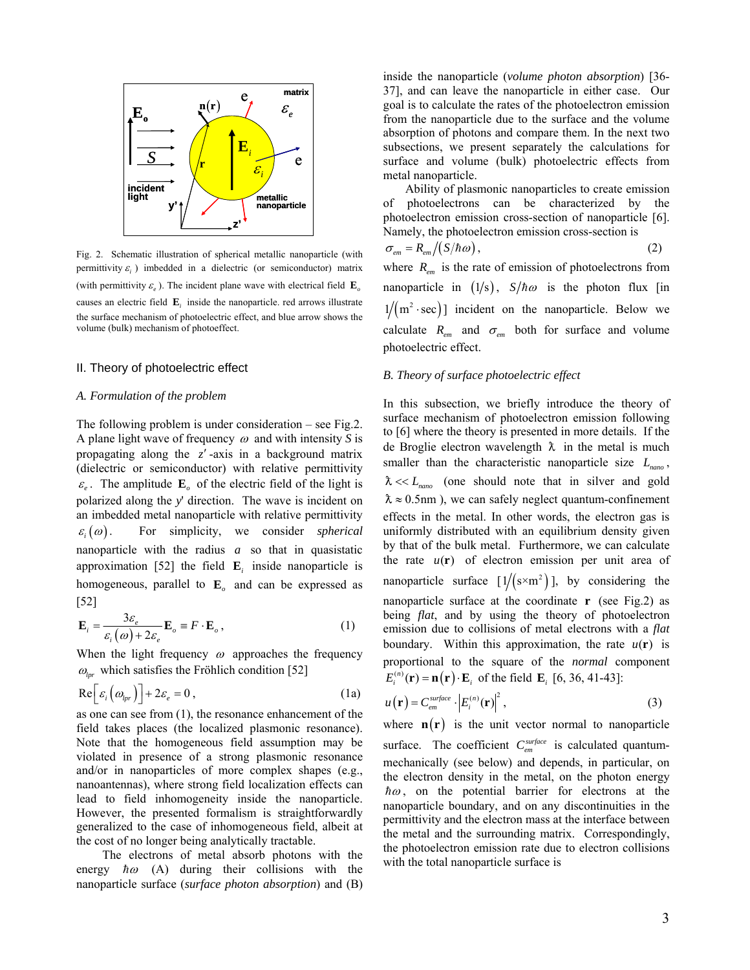

Fig. 2. Schematic illustration of spherical metallic nanoparticle (with permittivity  $\varepsilon$ <sup>*i*</sup> ) imbedded in a dielectric (or semiconductor) matrix (with permittivity  $\varepsilon$ <sub>o</sub>). The incident plane wave with electrical field **E**<sub>*o*</sub> causes an electric field  $\mathbf{E}_i$  inside the nanoparticle. red arrows illustrate the surface mechanism of photoelectric effect, and blue arrow shows the volume (bulk) mechanism of photoeffect.

## II. Theory of photoelectric effect

## *A. Formulation of the problem*

The following problem is under consideration – see Fig.2. A plane light wave of frequency  $\omega$  and with intensity *S* is propagating along the *z* -axis in a background matrix (dielectric or semiconductor) with relative permittivity  $\varepsilon$ <sub>e</sub>. The amplitude  $\mathbf{E}_o$  of the electric field of the light is polarized along the *y*' direction. The wave is incident on an imbedded metal nanoparticle with relative permittivity  $\varepsilon_i(\omega)$ . For simplicity, we consider *spherical* nanoparticle with the radius *a* so that in quasistatic approximation [52] the field  $\mathbf{E}_i$  inside nanoparticle is homogeneous, parallel to  $\mathbf{E}_{o}$  and can be expressed as [52]

$$
\mathbf{E}_{i} = \frac{3\varepsilon_{e}}{\varepsilon_{i}(\omega) + 2\varepsilon_{e}} \mathbf{E}_{o} \equiv F \cdot \mathbf{E}_{o} , \qquad (1)
$$

When the light frequency  $\omega$  approaches the frequency  $\omega_{\text{br}}$  which satisfies the Fröhlich condition [52]

$$
\operatorname{Re}\Big[\varepsilon_i\big(\omega_{lpr}\big)\Big]+2\varepsilon_e=0\,,\tag{1a}
$$

as one can see from (1), the resonance enhancement of the field takes places (the localized plasmonic resonance). Note that the homogeneous field assumption may be violated in presence of a strong plasmonic resonance and/or in nanoparticles of more complex shapes (e.g., nanoantennas), where strong field localization effects can lead to field inhomogeneity inside the nanoparticle. However, the presented formalism is straightforwardly generalized to the case of inhomogeneous field, albeit at the cost of no longer being analytically tractable.

The electrons of metal absorb photons with the energy  $\hbar \omega$  (A) during their collisions with the nanoparticle surface (*surface photon absorption*) and (B)

inside the nanoparticle (*volume photon absorption*) [36- 37], and can leave the nanoparticle in either case. Our goal is to calculate the rates of the photoelectron emission from the nanoparticle due to the surface and the volume absorption of photons and compare them. In the next two subsections, we present separately the calculations for surface and volume (bulk) photoelectric effects from metal nanoparticle.

Ability of plasmonic nanoparticles to create emission of photoelectrons can be characterized by the photoelectron emission cross-section of nanoparticle [6]. Namely, the photoelectron emission cross-section is

$$
\sigma_{\scriptscriptstyle em} = R_{\scriptscriptstyle em}/(S/\hbar\omega)\,,\tag{2}
$$

where  $R_{em}$  is the rate of emission of photoelectrons from nanoparticle in  $(1/s)$ ,  $S/\hbar\omega$  is the photon flux [in  $1/(m^2 \cdot sec)$ ] incident on the nanoparticle. Below we calculate  $R_{em}$  and  $\sigma_{em}$  both for surface and volume photoelectric effect.

## *B. Theory of surface photoelectric effect*

In this subsection, we briefly introduce the theory of surface mechanism of photoelectron emission following to [6] where the theory is presented in more details. If the de Broglie electron wavelength  $\lambda$  in the metal is much smaller than the characteristic nanoparticle size  $L_{\text{namo}}$ ,  $\lambda \ll L_{\text{non}}$  (one should note that in silver and gold  $\lambda \approx 0.5$ nm), we can safely neglect quantum-confinement effects in the metal. In other words, the electron gas is uniformly distributed with an equilibrium density given by that of the bulk metal. Furthermore, we can calculate the rate  $u(\mathbf{r})$  of electron emission per unit area of nanoparticle surface  $[1/({s \times m^2})]$ , by considering the nanoparticle surface at the coordinate **r** (see Fig.2) as being *flat*, and by using the theory of photoelectron emission due to collisions of metal electrons with a *flat* boundary. Within this approximation, the rate  $u(\mathbf{r})$  is proportional to the square of the *normal* component  $E_i^{(n)}(\mathbf{r}) = \mathbf{n}(\mathbf{r}) \cdot \mathbf{E}_i$  of the field  $\mathbf{E}_i$  [6, 36, 41-43]:

$$
u(\mathbf{r}) = C_{em}^{surface} \cdot \left| E_i^{(n)}(\mathbf{r}) \right|^2, \tag{3}
$$

where  $\mathbf{n}(\mathbf{r})$  is the unit vector normal to nanoparticle surface. The coefficient  $C_{em}^{surface}$  is calculated quantummechanically (see below) and depends, in particular, on the electron density in the metal, on the photon energy  $\hbar\omega$ , on the potential barrier for electrons at the nanoparticle boundary, and on any discontinuities in the permittivity and the electron mass at the interface between the metal and the surrounding matrix. Correspondingly, the photoelectron emission rate due to electron collisions with the total nanoparticle surface is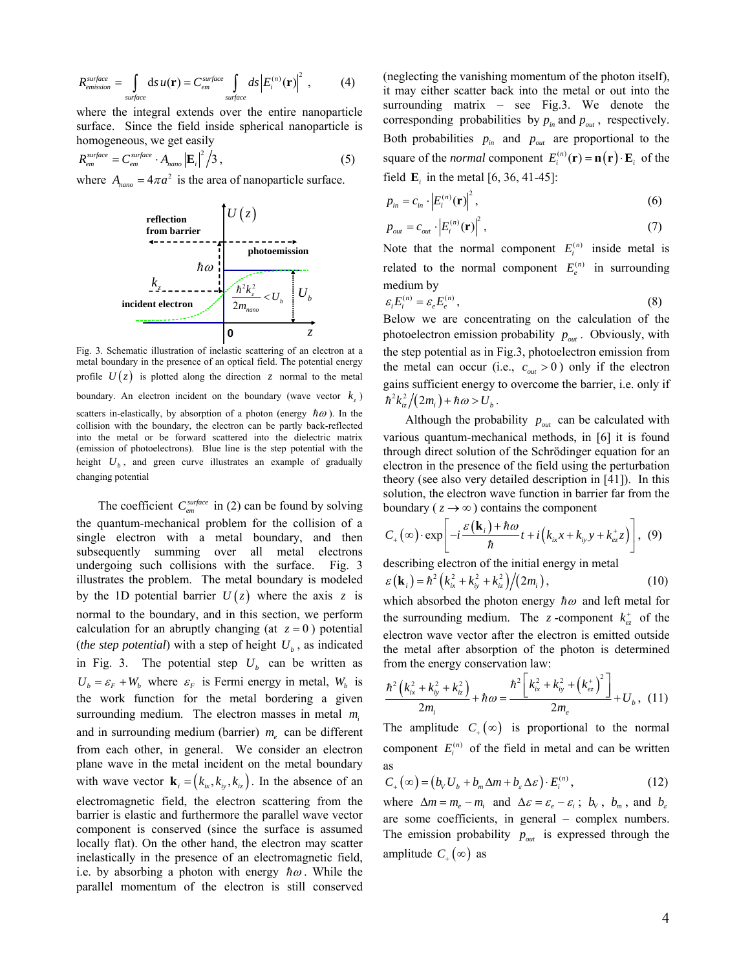$$
R_{emission}^{surface} = \int_{surface} ds u(\mathbf{r}) = C_{em}^{surface} \int_{surface} ds \left| E_i^{(n)}(\mathbf{r}) \right|^2 , \qquad (4)
$$

where the integral extends over the entire nanoparticle surface. Since the field inside spherical nanoparticle is homogeneous, we get easily 2

$$
R_{em}^{surface} = C_{em}^{surface} \cdot A_{nan} \left| \mathbf{E}_i \right|^2 / 3, \qquad (5)
$$

where  $A_{namp} = 4\pi a^2$  is the area of nanoparticle surface.



Fig. 3. Schematic illustration of inelastic scattering of an electron at a metal boundary in the presence of an optical field. The potential energy profile  $U(z)$  is plotted along the direction *z* normal to the metal boundary. An electron incident on the boundary (wave vector  $k<sub>z</sub>$ )

scatters in-elastically, by absorption of a photon (energy  $\hbar \omega$ ). In the collision with the boundary, the electron can be partly back-reflected into the metal or be forward scattered into the dielectric matrix (emission of photoelectrons). Blue line is the step potential with the height  $U_b$ , and green curve illustrates an example of gradually changing potential

The coefficient  $C_{em}^{surface}$  in (2) can be found by solving the quantum-mechanical problem for the collision of a single electron with a metal boundary, and then subsequently summing over all metal electrons undergoing such collisions with the surface. Fig. 3 illustrates the problem. The metal boundary is modeled by the 1D potential barrier  $U(z)$  where the axis z is normal to the boundary, and in this section, we perform calculation for an abruptly changing (at  $z = 0$ ) potential (*the step potential*) with a step of height  $U<sub>b</sub>$ , as indicated in Fig. 3. The potential step  $U_b$  can be written as  $U_b = \varepsilon_F + W_b$  where  $\varepsilon_F$  is Fermi energy in metal,  $W_b$  is the work function for the metal bordering a given surrounding medium. The electron masses in metal  $m_i$ and in surrounding medium (barrier)  $m_e$  can be different from each other, in general. We consider an electron plane wave in the metal incident on the metal boundary with wave vector  $\mathbf{k}_i = (k_{i_x}, k_{i_y}, k_{i_z})$ . In the absence of an electromagnetic field, the electron scattering from the barrier is elastic and furthermore the parallel wave vector component is conserved (since the surface is assumed locally flat). On the other hand, the electron may scatter inelastically in the presence of an electromagnetic field, i.e. by absorbing a photon with energy  $\hbar \omega$ . While the parallel momentum of the electron is still conserved

(neglecting the vanishing momentum of the photon itself), it may either scatter back into the metal or out into the surrounding matrix – see Fig.3. We denote the corresponding probabilities by  $p_{in}$  and  $p_{out}$ , respectively. Both probabilities  $p_{in}$  and  $p_{out}$  are proportional to the square of the *normal* component  $E_i^{(n)}(\mathbf{r}) = \mathbf{n}(\mathbf{r}) \cdot \mathbf{E}_i$  of the field  $\bf{E}$ , in the metal [6, 36, 41-45]:

$$
p_{in} = c_{in} \cdot \left| E_i^{(n)}(\mathbf{r}) \right|^2, \tag{6}
$$

$$
p_{out} = c_{out} \cdot \left| E_i^{(n)}(\mathbf{r}) \right|^2, \tag{7}
$$

Note that the normal component  $E_i^{(n)}$  inside metal is related to the normal component  $E_e^{(n)}$  in surrounding medium by

$$
\varepsilon_i E_i^{(n)} = \varepsilon_e E_e^{(n)},\tag{8}
$$

Below we are concentrating on the calculation of the photoelectron emission probability  $p_{out}$ . Obviously, with the step potential as in Fig.3, photoelectron emission from the metal can occur (i.e.,  $c_{out} > 0$ ) only if the electron gains sufficient energy to overcome the barrier, i.e. only if  $\hbar^2 k_{i\tau}^2/(2m_i) + \hbar \omega > U_h$ .

Although the probability  $p_{out}$  can be calculated with various quantum-mechanical methods, in [6] it is found through direct solution of the Schrödinger equation for an electron in the presence of the field using the perturbation theory (see also very detailed description in [41]). In this solution, the electron wave function in barrier far from the boundary ( $z \rightarrow \infty$ ) contains the component

$$
C_{+}(\infty) \cdot \exp\left[-i\frac{\varepsilon(\mathbf{k}_{i}) + \hbar\omega}{\hbar}t + i\left(k_{ix}x + k_{iy}y + k_{ez}^{+}z\right)\right], (9)
$$

describing electron of the initial energy in metal  $\varepsilon(\mathbf{k}_i) = \hbar^2 (k_{ix}^2 + k_{iy}^2 + k_{iz}^2)/(2m_i),$  (10)

which absorbed the photon energy  $\hbar \omega$  and left metal for the surrounding medium. The *z* -component  $k_{ez}^+$  of the electron wave vector after the electron is emitted outside the metal after absorption of the photon is determined from the energy conservation law:

$$
\frac{\hbar^2 (k_{ix}^2 + k_{iy}^2 + k_{iz}^2)}{2m_i} + \hbar \omega = \frac{\hbar^2 [k_{ix}^2 + k_{iy}^2 + (k_{ez}^+)^2]}{2m_e} + U_b, (11)
$$

The amplitude  $C_+(\infty)$  is proportional to the normal component  $E_i^{(n)}$  of the field in metal and can be written as

$$
C_{+}(\infty) = (b_{v}U_{b} + b_{m}\Delta m + b_{\varepsilon}\Delta\varepsilon) \cdot E_{i}^{(n)}, \qquad (12)
$$

where  $\Delta m = m_e - m_i$  and  $\Delta \varepsilon = \varepsilon_e - \varepsilon_i$ ;  $b_v$ ,  $b_m$ , and  $b_g$ are some coefficients, in general – complex numbers. The emission probability  $p_{out}$  is expressed through the amplitude  $C_+(\infty)$  as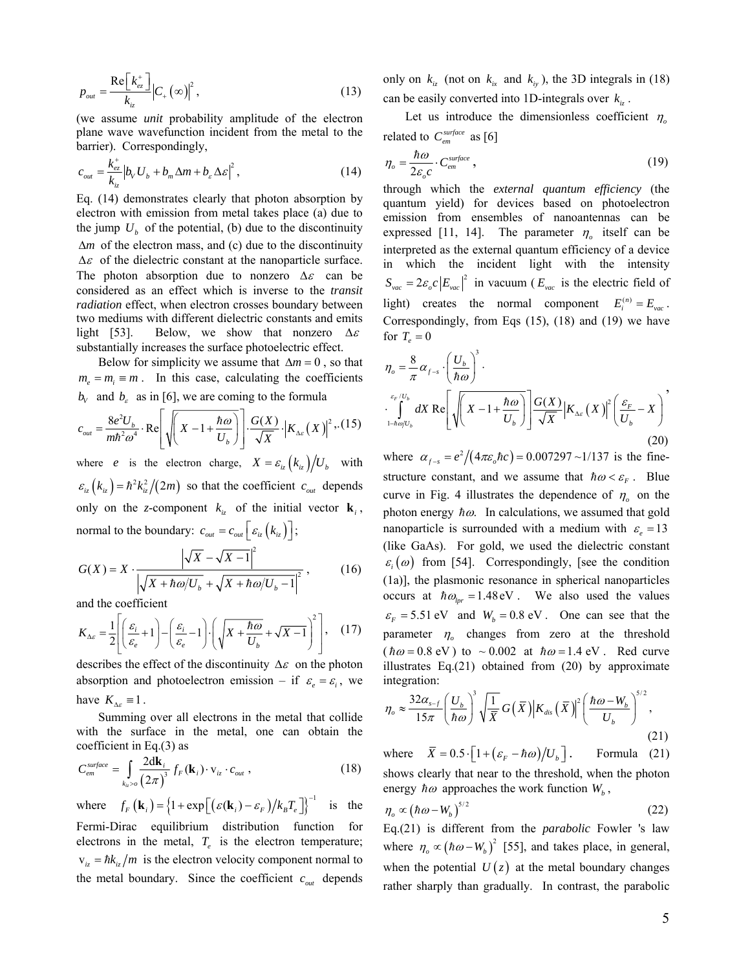$$
p_{out} = \frac{\text{Re}\left[k_{ez}^+\right]}{k_{iz}} \left|C_+\left(\infty\right)\right|^2,\tag{13}
$$

(we assume *unit* probability amplitude of the electron plane wave wavefunction incident from the metal to the barrier). Correspondingly,

$$
c_{\text{out}} = \frac{k_{\text{ex}}^+}{k_{\text{iz}}} \left| b_V U_b + b_m \Delta m + b_\varepsilon \Delta \varepsilon \right|^2, \tag{14}
$$

Eq. (14) demonstrates clearly that photon absorption by electron with emission from metal takes place (a) due to the jump  $U<sub>b</sub>$  of the potential, (b) due to the discontinuity  $\Delta m$  of the electron mass, and (c) due to the discontinuity  $\Delta \varepsilon$  of the dielectric constant at the nanoparticle surface. The photon absorption due to nonzero  $\Delta \varepsilon$  can be considered as an effect which is inverse to the *transit radiation* effect, when electron crosses boundary between two mediums with different dielectric constants and emits light [53]. Below, we show that nonzero  $\Delta \varepsilon$ substantially increases the surface photoelectric effect.

Below for simplicity we assume that  $\Delta m = 0$ , so that  $m_e = m_i \equiv m$ . In this case, calculating the coefficients  $b_v$  and  $b_\varepsilon$  as in [6], we are coming to the formula

$$
c_{out} = \frac{8e^2U_b}{m\hbar^2\omega^4} \cdot \text{Re}\left[\sqrt{\left(X - 1 + \frac{\hbar\omega}{U_b}\right)}\right] \cdot \frac{G(X)}{\sqrt{X}} \cdot \left|K_{\Delta c}(X)\right|^2 \cdot (15)
$$

where *e* is the electron charge,  $X = \varepsilon_{iz} (k_{iz}) / U_b$  with  $\mathcal{E}_{i_z} (k_{i_z}) = \hbar^2 k_{i_z}^2/(2m)$  so that the coefficient  $c_{out}$  depends only on the *z*-component  $k_i$  of the initial vector  $\mathbf{k}_i$ , normal to the boundary:  $c_{out} = c_{out} \left[ \varepsilon_{i} \left( k_{i z} \right) \right]$ ;

$$
G(X) = X \cdot \frac{\left|\sqrt{X} - \sqrt{X - 1}\right|^2}{\left|\sqrt{X + \hbar \omega / U_b} + \sqrt{X + \hbar \omega / U_b - 1}\right|^2},\tag{16}
$$

and the coefficient

$$
K_{\Delta \varepsilon} = \frac{1}{2} \left[ \left( \frac{\varepsilon_i}{\varepsilon_e} + 1 \right) - \left( \frac{\varepsilon_i}{\varepsilon_e} - 1 \right) \cdot \left( \sqrt{X + \frac{\hbar \omega}{U_b}} + \sqrt{X - 1} \right)^2 \right], \quad (17)
$$

describes the effect of the discontinuity  $\Delta \varepsilon$  on the photon absorption and photoelectron emission – if  $\varepsilon_e = \varepsilon_i$ , we have  $K_{\Delta\varepsilon} \equiv 1$ .

Summing over all electrons in the metal that collide with the surface in the metal, one can obtain the coefficient in Eq.(3) as

$$
C_{em}^{surface} = \int_{k_{iz} > o} \frac{2d\mathbf{k}_i}{(2\pi)^3} f_F(\mathbf{k}_i) \cdot \mathbf{v}_{iz} \cdot c_{out} ,
$$
 (18)

where  $f_F(\mathbf{k}_i) = \left\{1 + \exp\left[\left(\varepsilon(\mathbf{k}_i) - \varepsilon_F\right)/k_B T_e\right]\right\}^{-1}$  is the Fermi-Dirac equilibrium distribution function for electrons in the metal,  $T_e$  is the electron temperature;  $v_{iz} = \hbar k_{iz} / m$  is the electron velocity component normal to the metal boundary. Since the coefficient  $c_{out}$  depends

only on  $k_{iz}$  (not on  $k_{ix}$  and  $k_{iy}$ ), the 3D integrals in (18) can be easily converted into 1D-integrals over  $k_{iz}$ .

Let us introduce the dimensionless coefficient  $\eta_{\rho}$ related to  $C_{em}^{surface}$  as [6]

$$
\eta_o = \frac{\hbar \omega}{2\varepsilon_o c} \cdot C_{em}^{surface} \,, \tag{19}
$$

through which the *external quantum efficiency* (the quantum yield) for devices based on photoelectron emission from ensembles of nanoantennas can be expressed [11, 14]. The parameter  $\eta_o$  itself can be interpreted as the external quantum efficiency of a device in which the incident light with the intensity  $S_{\text{vac}} = 2\varepsilon_c |E_{\text{vac}}|^2$  in vacuum ( $E_{\text{vac}}$  is the electric field of light) creates the normal component  $E_i^{(n)} = E_{\text{vac}}$ . Correspondingly, from Eqs (15), (18) and (19) we have for  $T_e = 0$ 

$$
\eta_o = \frac{8}{\pi} \alpha_{f-s} \cdot \left(\frac{U_b}{\hbar \omega}\right)^3.
$$
  

$$
\int_{1-\hbar \omega/U_b}^{\varepsilon_F/U_b} dX \text{ Re}\left[\sqrt{\left(X - 1 + \frac{\hbar \omega}{U_b}\right)}\right] \frac{G(X)}{\sqrt{X}} \left|K_{\Delta \varepsilon}\left(X\right)\right|^2 \left(\frac{\varepsilon_F}{U_b} - X\right)^3
$$
\n(20)

where  $\alpha_{f-s} = e^2/(4\pi \varepsilon_o \hbar c) = 0.007297 \text{~}^{-1}/137$  is the finestructure constant, and we assume that  $\hbar \omega < \varepsilon_{F}$ . Blue curve in Fig. 4 illustrates the dependence of  $\eta_0$  on the photon energy  $\hbar \omega$ . In calculations, we assumed that gold nanoparticle is surrounded with a medium with  $\varepsilon$ <sub>*e*</sub> = 13 (like GaAs). For gold, we used the dielectric constant  $\varepsilon_i(\omega)$  from [54]. Correspondingly, [see the condition (1a)], the plasmonic resonance in spherical nanoparticles occurs at  $\hbar \omega_{\text{tor}} = 1.48 \text{ eV}$ . We also used the values  $\epsilon_F = 5.51$  eV and  $W_b = 0.8$  eV. One can see that the parameter  $\eta$  changes from zero at the threshold  $(\hbar \omega = 0.8 \text{ eV})$  to  $\sim 0.002$  at  $\hbar \omega = 1.4 \text{ eV}$ . Red curve illustrates Eq.(21) obtained from (20) by approximate integration:

$$
\eta_o \approx \frac{32\alpha_{s-f}}{15\pi} \left(\frac{U_b}{\hbar\omega}\right)^3 \sqrt{\frac{1}{\bar{X}}} \, G\left(\bar{X}\right) \left|K_{dis}\left(\bar{X}\right)\right|^2 \left(\frac{\hbar\omega - W_b}{U_b}\right)^{5/2},\tag{21}
$$

where  $\overline{X} = 0.5 \cdot \left[1 + \left(\varepsilon_F - \hbar \omega\right)/U_b\right]$ . Formula (21) shows clearly that near to the threshold, when the photon energy  $\hbar \omega$  approaches the work function  $W_h$ ,

$$
\eta_o \propto \left(\hbar \omega - W_b\right)^{5/2} \tag{22}
$$

Eq.(21) is different from the *parabolic* Fowler 's law where  $\eta_o \propto (h\omega - W_b)^2$  [55], and takes place, in general, when the potential  $U(z)$  at the metal boundary changes rather sharply than gradually. In contrast, the parabolic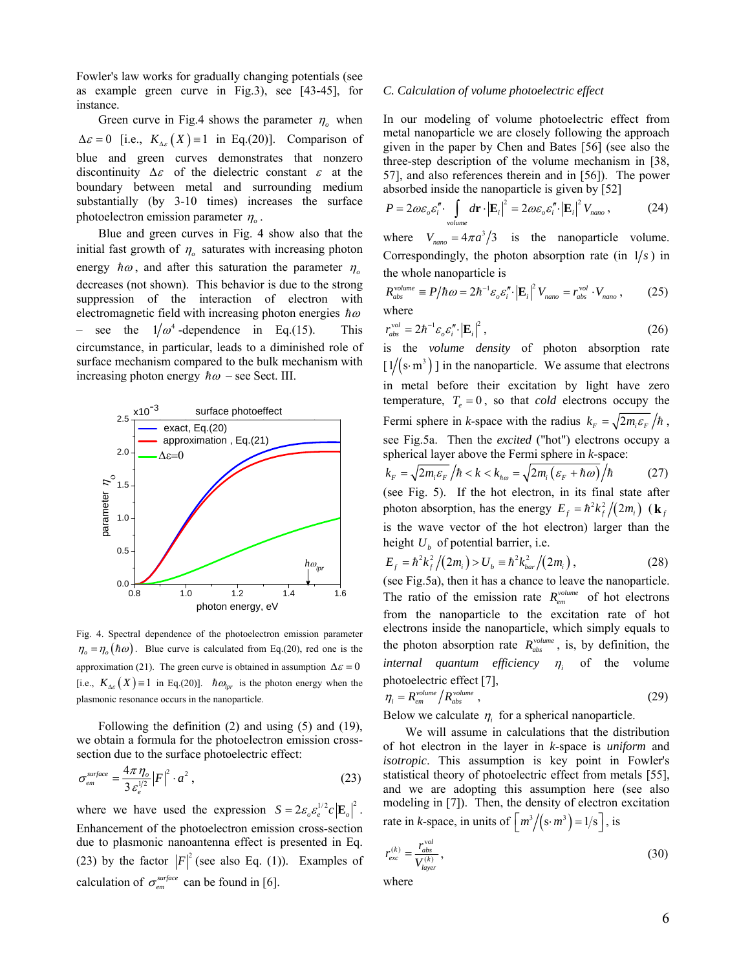Fowler's law works for gradually changing potentials (see as example green curve in Fig.3), see [43-45], for instance.

Green curve in Fig.4 shows the parameter  $\eta$ <sub>o</sub> when  $\Delta \varepsilon = 0$  [i.e.,  $K_{\Delta \varepsilon}(X) = 1$  in Eq.(20)]. Comparison of blue and green curves demonstrates that nonzero discontinuity  $\Delta \varepsilon$  of the dielectric constant  $\varepsilon$  at the boundary between metal and surrounding medium substantially (by 3-10 times) increases the surface photoelectron emission parameter  $\eta$ .

Blue and green curves in Fig. 4 show also that the initial fast growth of  $\eta$ <sub>o</sub> saturates with increasing photon energy  $\hbar \omega$ , and after this saturation the parameter  $\eta$ decreases (not shown). This behavior is due to the strong suppression of the interaction of electron with electromagnetic field with increasing photon energies  $\hbar \omega$ see the  $1/\omega^4$ -dependence in Eq.(15). This circumstance, in particular, leads to a diminished role of surface mechanism compared to the bulk mechanism with increasing photon energy  $\hbar \omega$  – see Sect. III.



Fig. 4. Spectral dependence of the photoelectron emission parameter  $\eta_{o} = \eta_{o}(\hbar \omega)$ . Blue curve is calculated from Eq.(20), red one is the approximation (21). The green curve is obtained in assumption  $\Delta \varepsilon = 0$ [i.e.,  $K_{\Delta\varepsilon}(X) = 1$  in Eq.(20)].  $\hbar \omega_{\text{tor}}$  is the photon energy when the plasmonic resonance occurs in the nanoparticle.

Following the definition (2) and using (5) and (19), we obtain a formula for the photoelectron emission crosssection due to the surface photoelectric effect:

$$
\sigma_{em}^{surface} = \frac{4\pi\,\eta_o}{3\,\varepsilon_e^{1/2}} \left| F \right|^2 \cdot a^2 \,, \tag{23}
$$

where we have used the expression  $S = 2\varepsilon_o \varepsilon_e^{1/2} c |\mathbf{E}_o|^2$ . Enhancement of the photoelectron emission cross-section due to plasmonic nanoantenna effect is presented in Eq. (23) by the factor  $|F|^2$  (see also Eq. (1)). Examples of calculation of  $\sigma_{em}^{surface}$  can be found in [6].

#### *C. Calculation of volume photoelectric effect*

In our modeling of volume photoelectric effect from metal nanoparticle we are closely following the approach given in the paper by Chen and Bates [56] (see also the three-step description of the volume mechanism in [38, 57], and also references therein and in [56]). The power absorbed inside the nanoparticle is given by [52]

$$
P = 2\omega \varepsilon_o \varepsilon_i'' \cdot \int_{volume} d\mathbf{r} \cdot \left| \mathbf{E}_i \right|^2 = 2\omega \varepsilon_o \varepsilon_i'' \cdot \left| \mathbf{E}_i \right|^2 V_{nano}, \tag{24}
$$

where  $V_{\text{namo}} = 4\pi a^3/3$  is the nanoparticle volume. Correspondingly, the photon absorption rate (in  $1/s$ ) in the whole nanoparticle is

$$
R_{abs}^{volume} \equiv P/\hbar \omega = 2\hbar^{-1} \varepsilon_o \varepsilon_i'' \cdot \left| \mathbf{E}_i \right|^2 V_{nano} = r_{abs}^{vol} \cdot V_{nano} , \qquad (25)
$$
  
where

$$
r_{abs}^{vol} = 2\hbar^{-1} \varepsilon_o \varepsilon_i'' \cdot \left| \mathbf{E}_i \right|^2, \tag{26}
$$

is the *volume density* of photon absorption rate  $\lceil 1/(s \cdot m^3) \rceil$  in the nanoparticle. We assume that electrons in metal before their excitation by light have zero temperature,  $T_e = 0$ , so that *cold* electrons occupy the Fermi sphere in *k*-space with the radius  $k_F = \sqrt{2m_E \epsilon_F}/\hbar$ , see Fig.5a. Then the *excited* ("hot") electrons occupy a spherical layer above the Fermi sphere in *k*-space:

$$
k_F = \sqrt{2m_i \varepsilon_F / \hbar} < k < k_{h\omega} = \sqrt{2m_i (\varepsilon_F + \hbar \omega) / \hbar} \tag{27}
$$

(see Fig. 5). If the hot electron, in its final state after photon absorption, has the energy  $E_f = \hbar^2 k_f^2/(2m_i)$  (**k** *f* is the wave vector of the hot electron) larger than the height  $U_b$  of potential barrier, i.e.

$$
E_f = \hbar^2 k_f^2 / (2m_i) > U_b = \hbar^2 k_{bar}^2 / (2m_i) , \qquad (28)
$$

(see Fig.5a), then it has a chance to leave the nanoparticle. The ratio of the emission rate  $R_{em}^{volume}$  of hot electrons from the nanoparticle to the excitation rate of hot electrons inside the nanoparticle, which simply equals to the photon absorption rate  $R_{abs}^{volume}$ , is, by definition, the *internal quantum efficiency*  $\eta_i$  of the volume photoelectric effect [7],

$$
\eta_i = R_{em}^{\text{volume}} / R_{abs}^{\text{volume}} \tag{29}
$$

Below we calculate  $\eta_i$  for a spherical nanoparticle.

We will assume in calculations that the distribution of hot electron in the layer in *k*-space is *uniform* and *isotropic*. This assumption is key point in Fowler's statistical theory of photoelectric effect from metals [55], and we are adopting this assumption here (see also modeling in [7]). Then, the density of electron excitation rate in *k*-space, in units of  $\left\lceil \frac{m^3}{s \cdot m^3} \right\rceil = 1/s \right\rceil$ , is

$$
r_{exc}^{(k)} = \frac{r_{abs}^{vol}}{V_{layer}^{(k)}},
$$
\n(30)

where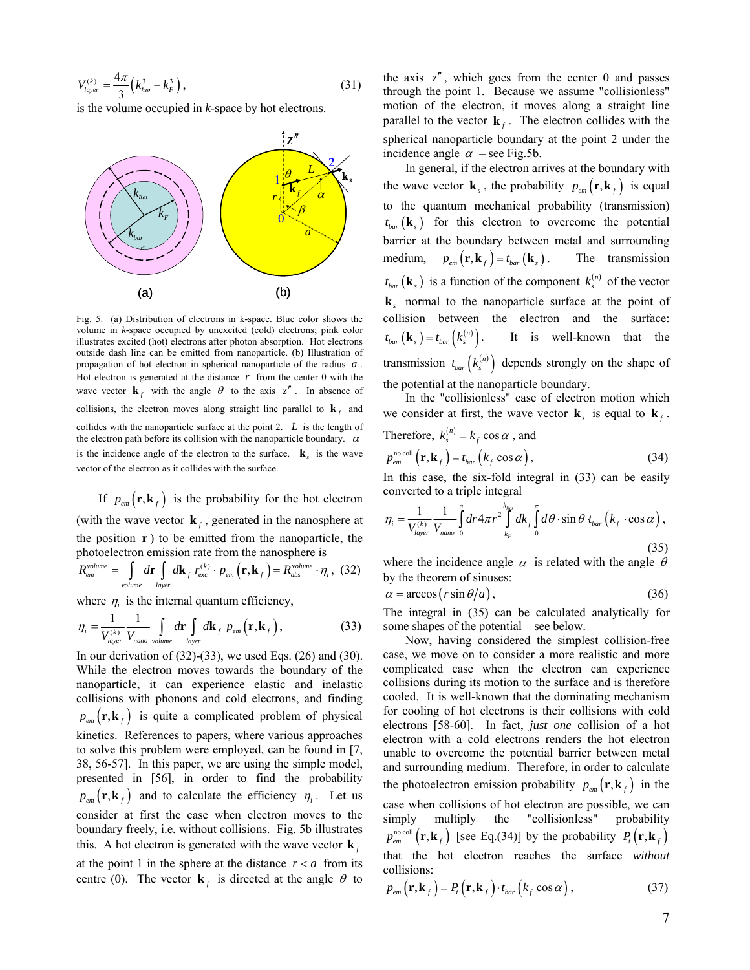$$
V_{layer}^{(k)} = \frac{4\pi}{3} \left( k_{h\omega}^3 - k_F^3 \right),
$$
 (31)

is the volume occupied in *k*-space by hot electrons.



Fig. 5. (a) Distribution of electrons in k-space. Blue color shows the volume in *k*-space occupied by unexcited (cold) electrons; pink color illustrates excited (hot) electrons after photon absorption. Hot electrons outside dash line can be emitted from nanoparticle. (b) Illustration of propagation of hot electron in spherical nanoparticle of the radius *a* . Hot electron is generated at the distance  $r$  from the center 0 with the wave vector  $\mathbf{k}_f$  with the angle  $\theta$  to the axis  $z''$ . In absence of collisions, the electron moves along straight line parallel to  $\mathbf{k}_f$  and collides with the nanoparticle surface at the point 2. *L* is the length of the electron path before its collision with the nanoparticle boundary.  $\alpha$ is the incidence angle of the electron to the surface.  $\mathbf{k}$  is the wave vector of the electron as it collides with the surface.

If  $p_{em}(\mathbf{r}, \mathbf{k}_f)$  is the probability for the hot electron (with the wave vector  $\mathbf{k}_f$ , generated in the nanosphere at the position  $r$ ) to be emitted from the nanoparticle, the photoelectron emission rate from the nanosphere is

$$
R_{em}^{volume} = \int_{volume} d\mathbf{r} \int_{layer} d\mathbf{k}_f r_{exc}^{(k)} \cdot p_{em}(\mathbf{r}, \mathbf{k}_f) = R_{abs}^{volume} \cdot \eta_i, (32)
$$

where  $\eta_i$  is the internal quantum efficiency,

$$
\eta_i = \frac{1}{V_{layer}^{(k)}} \frac{1}{V_{nano}} \int_{volume} d\mathbf{r} \int_{layer} d\mathbf{k}_f \ p_{em}(\mathbf{r}, \mathbf{k}_f), \qquad (33)
$$

In our derivation of  $(32)$ - $(33)$ , we used Eqs.  $(26)$  and  $(30)$ . While the electron moves towards the boundary of the nanoparticle, it can experience elastic and inelastic collisions with phonons and cold electrons, and finding  $p_{em}(\mathbf{r}, \mathbf{k}_f)$  is quite a complicated problem of physical kinetics. References to papers, where various approaches to solve this problem were employed, can be found in [7, 38, 56-57]. In this paper, we are using the simple model, presented in [56], in order to find the probability  $p_{em}(\mathbf{r}, \mathbf{k}_f)$  and to calculate the efficiency  $\eta_i$ . Let us consider at first the case when electron moves to the boundary freely, i.e. without collisions. Fig. 5b illustrates this. A hot electron is generated with the wave vector  $\mathbf{k}_f$ at the point 1 in the sphere at the distance  $r < a$  from its centre (0). The vector  $\mathbf{k}_f$  is directed at the angle  $\theta$  to the axis  $z''$ , which goes from the center 0 and passes through the point 1. Because we assume "collisionless" motion of the electron, it moves along a straight line parallel to the vector  $\mathbf{k}_f$ . The electron collides with the spherical nanoparticle boundary at the point 2 under the incidence angle  $\alpha$  – see Fig.5b.

In general, if the electron arrives at the boundary with the wave vector  $\mathbf{k}_s$ , the probability  $p_{em}(\mathbf{r}, \mathbf{k}_f)$  is equal to the quantum mechanical probability (transmission)  $t_{bar}$  ( $\mathbf{k}_s$ ) for this electron to overcome the potential barrier at the boundary between metal and surrounding medium,  $p_{em}(\mathbf{r}, \mathbf{k}_f) \equiv t_{bar}(\mathbf{k}_s)$ . The transmission  $t_{bar}$  **(k**<sub>s</sub>) is a function of the component  $k_s^{(n)}$  of the vector **k***s* normal to the nanoparticle surface at the point of collision between the electron and the surface:  $t_{bar}(\mathbf{k}_{s}) \equiv t_{bar}\left(k_{s}^{(n)}\right).$ It is well-known that the transmission  $t_{bar}\left(k_s^{(n)}\right)$  depends strongly on the shape of the potential at the nanoparticle boundary.

In the "collisionless" case of electron motion which we consider at first, the wave vector  $\mathbf{k}_s$  is equal to  $\mathbf{k}_f$ .

Therefore, 
$$
k_s^{(n)} = k_f \cos \alpha
$$
, and

$$
p_{em}^{\text{no coll}}\left(\mathbf{r}, \mathbf{k}_f\right) = t_{bar}\left(k_f \cos \alpha\right),\tag{34}
$$

In this case, the six-fold integral in (33) can be easily converted to a triple integral

$$
\eta_i = \frac{1}{V_{layer}^{(k)}} \frac{1}{V_{nano}} \int_0^a dr 4\pi r^2 \int_{k_F}^{k_{ho}} dk_f \int_0^{\pi} d\theta \cdot \sin\theta \, t_{bar} \left(k_f \cdot \cos\alpha\right),\tag{35}
$$

where the incidence angle  $\alpha$  is related with the angle  $\theta$ by the theorem of sinuses:

$$
\alpha = \arccos(r\sin\theta/a),\tag{36}
$$

The integral in (35) can be calculated analytically for some shapes of the potential – see below.

Now, having considered the simplest collision-free case, we move on to consider a more realistic and more complicated case when the electron can experience collisions during its motion to the surface and is therefore cooled. It is well-known that the dominating mechanism for cooling of hot electrons is their collisions with cold electrons [58-60]. In fact, *just one* collision of a hot electron with a cold electrons renders the hot electron unable to overcome the potential barrier between metal and surrounding medium. Therefore, in order to calculate the photoelectron emission probability  $p_{em}(\mathbf{r}, \mathbf{k}_f)$  in the case when collisions of hot electron are possible, we can simply multiply the "collisionless" probability  $p_{em}^{\text{no coll}}(\mathbf{r}, \mathbf{k}_f)$  [see Eq.(34)] by the probability  $P_t(\mathbf{r}, \mathbf{k}_f)$ that the hot electron reaches the surface *without* collisions:

$$
p_{em}\left(\mathbf{r}, \mathbf{k}_{f}\right) = P_{t}\left(\mathbf{r}, \mathbf{k}_{f}\right) \cdot t_{bar}\left(k_{f} \cos \alpha\right),\tag{37}
$$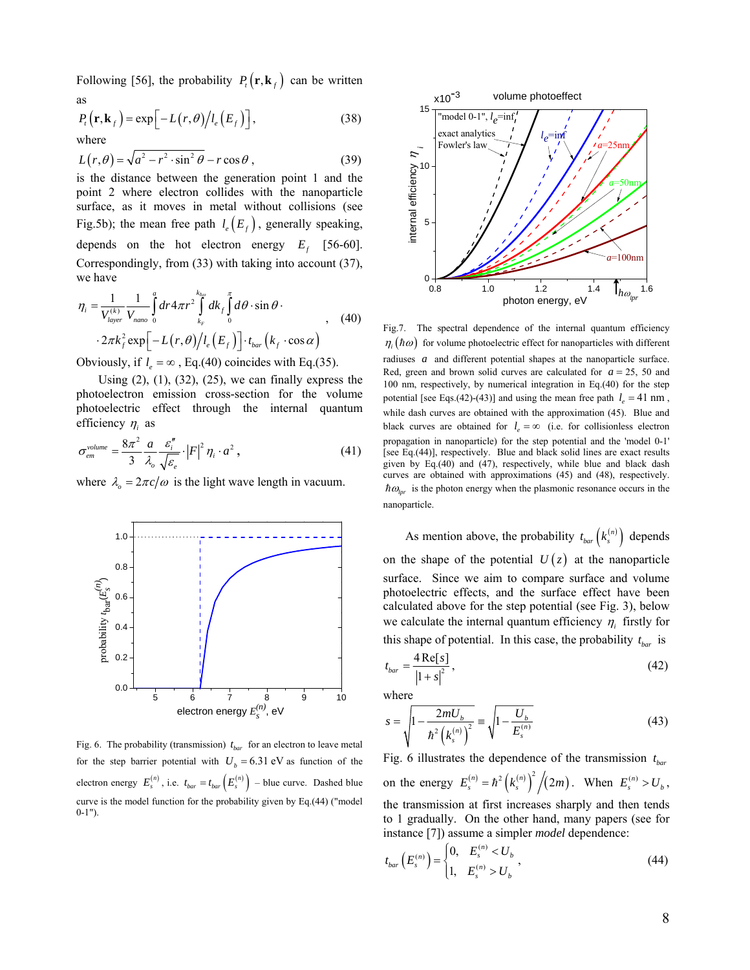Following [56], the probability  $P_t(\mathbf{r}, \mathbf{k}_f)$  can be written as

$$
P_{t}(\mathbf{r}, \mathbf{k}_{f}) = \exp\left[-L(r, \theta)/l_{e}(E_{f})\right],
$$
\nwhere

\n
$$
P_{t}(\mathbf{r}, \mathbf{k}_{f}) = \exp\left[-L(r, \theta)/l_{e}(E_{f})\right],
$$
\n(38)

$$
L(r,\theta) = \sqrt{a^2 - r^2 \cdot \sin^2 \theta} - r \cos \theta, \qquad (39)
$$

is the distance between the generation point 1 and the point 2 where electron collides with the nanoparticle surface, as it moves in metal without collisions (see Fig.5b); the mean free path  $l_e(E_f)$ , generally speaking, depends on the hot electron energy  $E_f$  [56-60]. Correspondingly, from (33) with taking into account (37), we have

$$
\eta_i = \frac{1}{V_{layer}^{(k)}} \frac{1}{V_{naoc}} \int_0^a dr 4\pi r^2 \int_{k_F}^{k_{ho}} dk_f \int_0^{\pi} d\theta \cdot \sin \theta \cdot \frac{2\pi k_f^2 \exp[-L(r,\theta)] l_e(E_f)] \cdot t_{bar}(k_f \cdot \cos \alpha)}, \quad (40)
$$

Obviously, if  $l_e = \infty$ , Eq.(40) coincides with Eq.(35).

Using  $(2)$ ,  $(1)$ ,  $(32)$ ,  $(25)$ , we can finally express the photoelectron emission cross-section for the volume photoelectric effect through the internal quantum efficiency  $\eta_i$  as

$$
\sigma_{em}^{\text{volume}} = \frac{8\pi^2}{3} \frac{a}{\lambda_o} \frac{\varepsilon_i^{\prime\prime}}{\sqrt{\varepsilon_e}} \cdot \left| F \right|^2 \eta_i \cdot a^2 , \qquad (41)
$$

where  $\lambda_0 = 2\pi c/\omega$  is the light wave length in vacuum.



Fig. 6. The probability (transmission)  $t_{bar}$  for an electron to leave metal for the step barrier potential with  $U_b = 6.31$  eV as function of the electron energy  $E_s^{(n)}$ , i.e.  $t_{bar} = t_{bar} \left( E_s^{(n)} \right)$  – blue curve. Dashed blue curve is the model function for the probability given by Eq.(44) ("model  $0 - 1$ ").



Fig.7. The spectral dependence of the internal quantum efficiency  $\eta_i(h\omega)$  for volume photoelectric effect for nanoparticles with different radiuses *a* and different potential shapes at the nanoparticle surface. Red, green and brown solid curves are calculated for  $a = 25$ , 50 and 100 nm, respectively, by numerical integration in Eq.(40) for the step potential [see Eqs.(42)-(43)] and using the mean free path  $l_e = 41$  nm, while dash curves are obtained with the approximation (45). Blue and black curves are obtained for  $l<sub>e</sub> = \infty$  (i.e. for collisionless electron propagation in nanoparticle) for the step potential and the 'model 0-1' [see Eq.(44)], respectively. Blue and black solid lines are exact results given by Eq.(40) and (47), respectively, while blue and black dash curves are obtained with approximations (45) and (48), respectively.  $\hbar \omega_{\text{tar}}$  is the photon energy when the plasmonic resonance occurs in the nanoparticle.

As mention above, the probability  $t_{bar}$   $(k_s^{(n)})$  depends on the shape of the potential  $U(z)$  at the nanoparticle surface. Since we aim to compare surface and volume photoelectric effects, and the surface effect have been calculated above for the step potential (see Fig. 3), below we calculate the internal quantum efficiency  $\eta_i$  firstly for this shape of potential. In this case, the probability  $t_{bar}$  is

$$
t_{bar} = \frac{4 \operatorname{Re}[s]}{\left|1 + s\right|^2},\tag{42}
$$

where

$$
s = \sqrt{1 - \frac{2mU_b}{\hbar^2 (k_s^{(n)})^2}} = \sqrt{1 - \frac{U_b}{E_s^{(n)}}}
$$
(43)

Fig. 6 illustrates the dependence of the transmission  $t_{bar}$ on the energy  $E_s^{(n)} = \hbar^2 (k_s^{(n)})^2 / (2m)$ . When  $E_s^{(n)} > U_b$ , the transmission at first increases sharply and then tends to 1 gradually. On the other hand, many papers (see for instance [7]) assume a simpler *model* dependence:

$$
t_{bar}\left(E_s^{(n)}\right) = \begin{cases} 0, & E_s^{(n)} < U_b \\ 1, & E_s^{(n)} > U_b \end{cases},\tag{44}
$$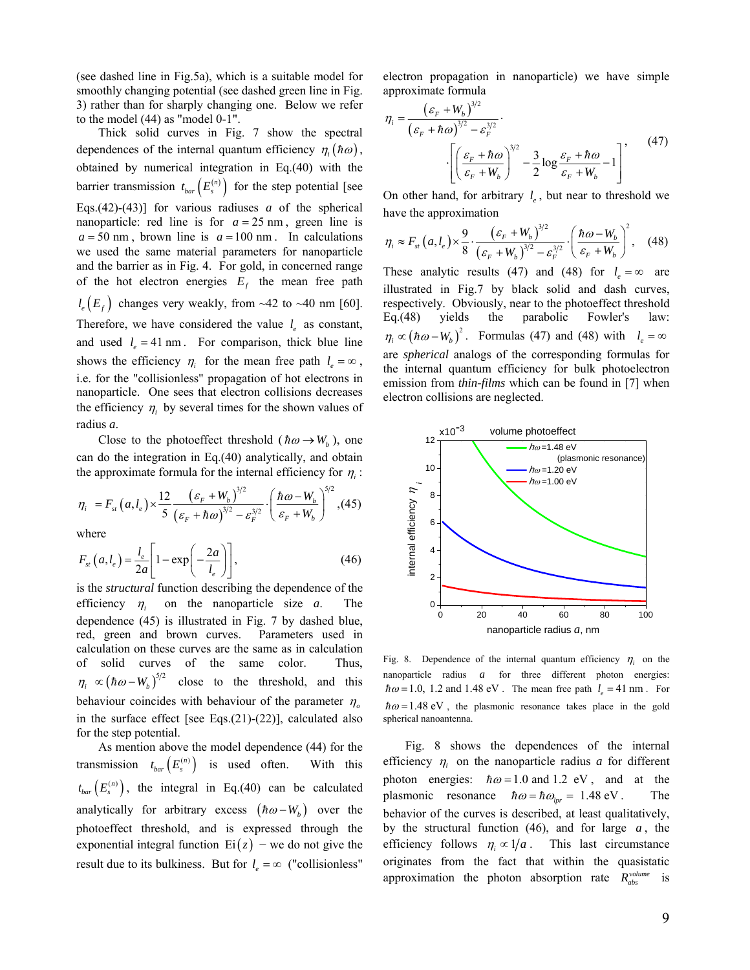(see dashed line in Fig.5a), which is a suitable model for smoothly changing potential (see dashed green line in Fig. 3) rather than for sharply changing one. Below we refer to the model (44) as "model 0-1".

Thick solid curves in Fig. 7 show the spectral dependences of the internal quantum efficiency  $\eta_i(h\omega)$ , obtained by numerical integration in Eq.(40) with the barrier transmission  $t_{bar}$   $\left(E_s^{(n)}\right)$  for the step potential [see Eqs.(42)-(43)] for various radiuses *a* of the spherical nanoparticle: red line is for  $a = 25$  nm, green line is  $a = 50$  nm, brown line is  $a = 100$  nm. In calculations we used the same material parameters for nanoparticle and the barrier as in Fig. 4. For gold, in concerned range of the hot electron energies  $E_f$  the mean free path  $l_e(E_f)$  changes very weakly, from ~42 to ~40 nm [60]. Therefore, we have considered the value  $l_e$  as constant, and used  $l_e = 41$  nm. For comparison, thick blue line shows the efficiency  $\eta_i$  for the mean free path  $l_e = \infty$ , i.e. for the "collisionless" propagation of hot electrons in nanoparticle. One sees that electron collisions decreases the efficiency  $\eta_i$  by several times for the shown values of radius *a*.

Close to the photoeffect threshold ( $\hbar \omega \rightarrow W_b$ ), one can do the integration in Eq.(40) analytically, and obtain the approximate formula for the internal efficiency for  $\eta$ .

$$
\eta_i = F_{st}(a, l_e) \times \frac{12}{5} \frac{\left(\varepsilon_F + W_b\right)^{3/2}}{\left(\varepsilon_F + \hbar \omega\right)^{3/2} - \varepsilon_F^{3/2}} \cdot \left(\frac{\hbar \omega - W_b}{\varepsilon_F + W_b}\right)^{5/2}, (45)
$$

where

$$
F_{st}(a, l_e) = \frac{l_e}{2a} \left[ 1 - \exp\left(-\frac{2a}{l_e}\right) \right],\tag{46}
$$

is the *structural* function describing the dependence of the efficiency  $\eta_i$  on the nanoparticle size *a*. The dependence (45) is illustrated in Fig. 7 by dashed blue, red, green and brown curves. Parameters used in calculation on these curves are the same as in calculation of solid curves of the same color. Thus,  $\eta_i \propto (\hbar \omega - W_b)^{5/2}$  close to the threshold, and this behaviour coincides with behaviour of the parameter  $\eta$ in the surface effect [see Eqs.(21)-(22)], calculated also for the step potential.

As mention above the model dependence (44) for the transmission  $t_{bar} (E_s^{(n)})$  is used often. With this  $t_{bar}\left( E_s^{(n)}\right)$ , the integral in Eq.(40) can be calculated analytically for arbitrary excess  $(h\omega - W_h)$  over the photoeffect threshold, and is expressed through the exponential integral function  $Ei(z)$  – we do not give the result due to its bulkiness. But for  $l_e = \infty$  ("collisionless"

electron propagation in nanoparticle) we have simple approximate formula

$$
\eta_i = \frac{\left(\varepsilon_F + W_b\right)^{3/2}}{\left(\varepsilon_F + \hbar\omega\right)^{3/2} - \varepsilon_F^{3/2}} \cdot \left[\frac{\left(\frac{\varepsilon_F + \hbar\omega}{\varepsilon_F + W_b}\right)^{3/2} - \frac{3}{2}\log\frac{\varepsilon_F + \hbar\omega}{\varepsilon_F + W_b} - 1\right]^{\gamma} \tag{47}
$$

On other hand, for arbitrary  $l_e$ , but near to threshold we have the approximation

$$
\eta_i \approx F_{st}\left(a, l_e\right) \times \frac{9}{8} \cdot \frac{\left(\varepsilon_F + W_b\right)^{3/2}}{\left(\varepsilon_F + W_b\right)^{3/2} - \varepsilon_F^{3/2}} \cdot \left(\frac{\hbar \omega - W_b}{\varepsilon_F + W_b}\right)^2, \quad (48)
$$

These analytic results (47) and (48) for  $l_e = \infty$  are illustrated in Fig.7 by black solid and dash curves, respectively. Obviously, near to the photoeffect threshold Eq.(48) yields the parabolic Fowler's law:  $\eta_i \propto (\hbar \omega - W_b)^2$ . Formulas (47) and (48) with  $l_e = \infty$ are *spherical* analogs of the corresponding formulas for the internal quantum efficiency for bulk photoelectron emission from *thin-films* which can be found in [7] when electron collisions are neglected.



Fig. 8. Dependence of the internal quantum efficiency  $\eta_i$  on the nanoparticle radius *a* for three different photon energies:  $\hbar \omega = 1.0$ , 1.2 and 1.48 eV. The mean free path  $l_e = 41$  nm. For  $\hbar \omega = 1.48 \text{ eV}$ , the plasmonic resonance takes place in the gold spherical nanoantenna.

Fig. 8 shows the dependences of the internal efficiency  $\eta_i$  on the nanoparticle radius *a* for different photon energies:  $\hbar \omega = 1.0$  and 1.2 eV, and at the plasmonic resonance  $\hbar \omega = \hbar \omega_{\text{hor}} = 1.48 \text{ eV}$ . The behavior of the curves is described, at least qualitatively, by the structural function  $(46)$ , and for large  $a$ , the efficiency follows  $\eta_i \propto 1/a$ . This last circumstance originates from the fact that within the quasistatic approximation the photon absorption rate  $R_{abs}^{volume}$  is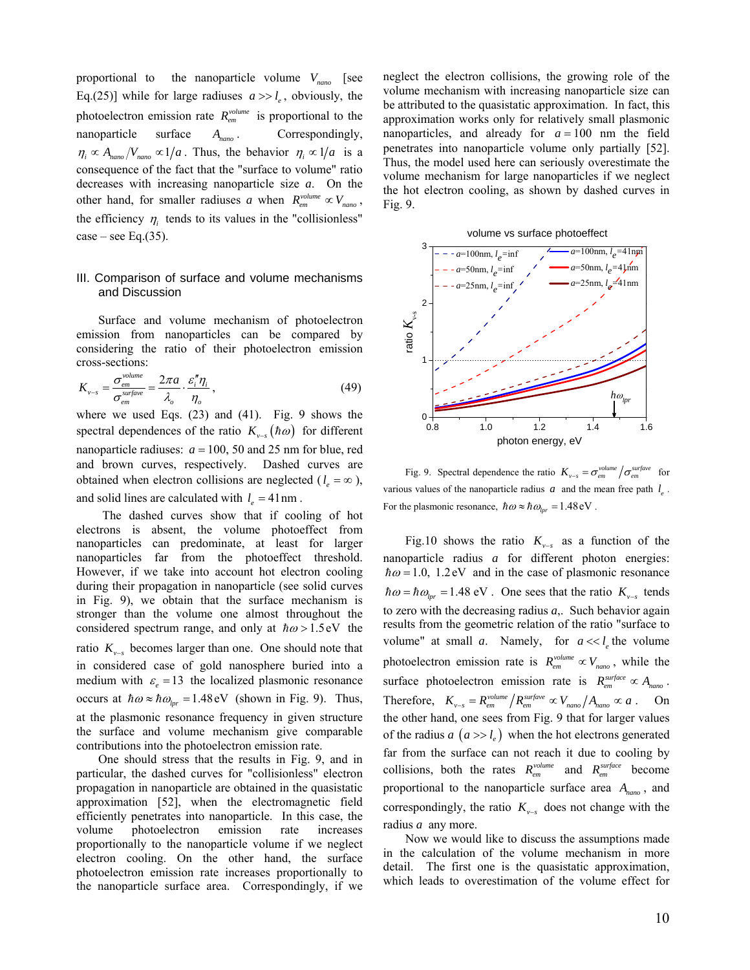proportional to the nanoparticle volume *Vnano* [see Eq.(25)] while for large radiuses  $a \gg l_e$ , obviously, the photoelectron emission rate  $R_{em}^{volume}$  is proportional to the nanoparticle surface *Anano* . Correspondingly,  $\eta_i \propto A_{\eta_{\text{ano}}} / V_{\eta_{\text{ano}}} \propto 1/a$ . Thus, the behavior  $\eta_i \propto 1/a$  is a consequence of the fact that the "surface to volume" ratio decreases with increasing nanoparticle size *a*. On the other hand, for smaller radiuses *a* when  $R_{em}^{volume} \propto V_{nano}$ , the efficiency  $\eta_i$  tends to its values in the "collisionless"  $case - see Eq.(35).$ 

# III. Comparison of surface and volume mechanisms and Discussion

Surface and volume mechanism of photoelectron emission from nanoparticles can be compared by considering the ratio of their photoelectron emission cross-sections:

$$
K_{\nu-s} = \frac{\sigma_{em}^{\text{volume}}}{\sigma_{em}^{\text{surface}}} = \frac{2\pi a}{\lambda_o} \cdot \frac{\varepsilon_i'' \eta_i}{\eta_o} \,,\tag{49}
$$

where we used Eqs. (23) and (41). Fig. 9 shows the spectral dependences of the ratio  $K_{v-s}(\hbar\omega)$  for different nanoparticle radiuses:  $a = 100$ , 50 and 25 nm for blue, red and brown curves, respectively. Dashed curves are obtained when electron collisions are neglected ( $l_e = \infty$ ), and solid lines are calculated with  $l_e = 41$  nm.

The dashed curves show that if cooling of hot electrons is absent, the volume photoeffect from nanoparticles can predominate, at least for larger nanoparticles far from the photoeffect threshold. However, if we take into account hot electron cooling during their propagation in nanoparticle (see solid curves in Fig. 9), we obtain that the surface mechanism is stronger than the volume one almost throughout the considered spectrum range, and only at  $\hbar \omega > 1.5$ eV the ratio  $K_{v-s}$  becomes larger than one. One should note that in considered case of gold nanosphere buried into a medium with  $\varepsilon_e = 13$  the localized plasmonic resonance occurs at  $\hbar \omega \approx \hbar \omega_{\text{b}r} = 1.48 \text{ eV}$  (shown in Fig. 9). Thus, at the plasmonic resonance frequency in given structure the surface and volume mechanism give comparable contributions into the photoelectron emission rate.

One should stress that the results in Fig. 9, and in particular, the dashed curves for "collisionless" electron propagation in nanoparticle are obtained in the quasistatic approximation [52], when the electromagnetic field efficiently penetrates into nanoparticle. In this case, the volume photoelectron emission rate increases proportionally to the nanoparticle volume if we neglect electron cooling. On the other hand, the surface photoelectron emission rate increases proportionally to the nanoparticle surface area. Correspondingly, if we neglect the electron collisions, the growing role of the volume mechanism with increasing nanoparticle size can be attributed to the quasistatic approximation. In fact, this approximation works only for relatively small plasmonic nanoparticles, and already for  $a = 100$  nm the field penetrates into nanoparticle volume only partially [52]. Thus, the model used here can seriously overestimate the volume mechanism for large nanoparticles if we neglect the hot electron cooling, as shown by dashed curves in Fig. 9.





Fig. 9. Spectral dependence the ratio  $K_{v-s} = \sigma_{em}^{volume} / \sigma_{em}^{surface}$  for various values of the nanoparticle radius  $a$  and the mean free path  $l_a$ . For the plasmonic resonance,  $\hbar \omega \approx \hbar \omega_{\text{tar}} = 1.48 \text{ eV}$ .

Fig.10 shows the ratio  $K_{v-s}$  as a function of the nanoparticle radius *a* for different photon energies:  $\hbar \omega = 1.0$ , 1.2eV and in the case of plasmonic resonance  $\hbar \omega = \hbar \omega_{\text{tor}} = 1.48 \text{ eV}$ . One sees that the ratio  $K_{\text{v-s}}$  tends to zero with the decreasing radius *a*,. Such behavior again results from the geometric relation of the ratio "surface to volume" at small *a*. Namely, for  $a \ll l_e$  the volume photoelectron emission rate is  $R_{em}^{volume} \propto V_{nano}$ , while the surface photoelectron emission rate is  $R_{em}^{surface} \propto A_{nano}$ . Therefore,  $K_{v-s} = R_{em}^{volume} / R_{em}^{surface} \propto V_{nano} / A_{nano} \propto a$ . On the other hand, one sees from Fig. 9 that for larger values of the radius  $a(a \gg l_a)$  when the hot electrons generated far from the surface can not reach it due to cooling by collisions, both the rates  $R_{em}^{volume}$  and  $R_{em}^{surface}$  become proportional to the nanoparticle surface area *Anano* , and correspondingly, the ratio  $K_{\nu-s}$  does not change with the radius *a* any more.

Now we would like to discuss the assumptions made in the calculation of the volume mechanism in more detail. The first one is the quasistatic approximation, which leads to overestimation of the volume effect for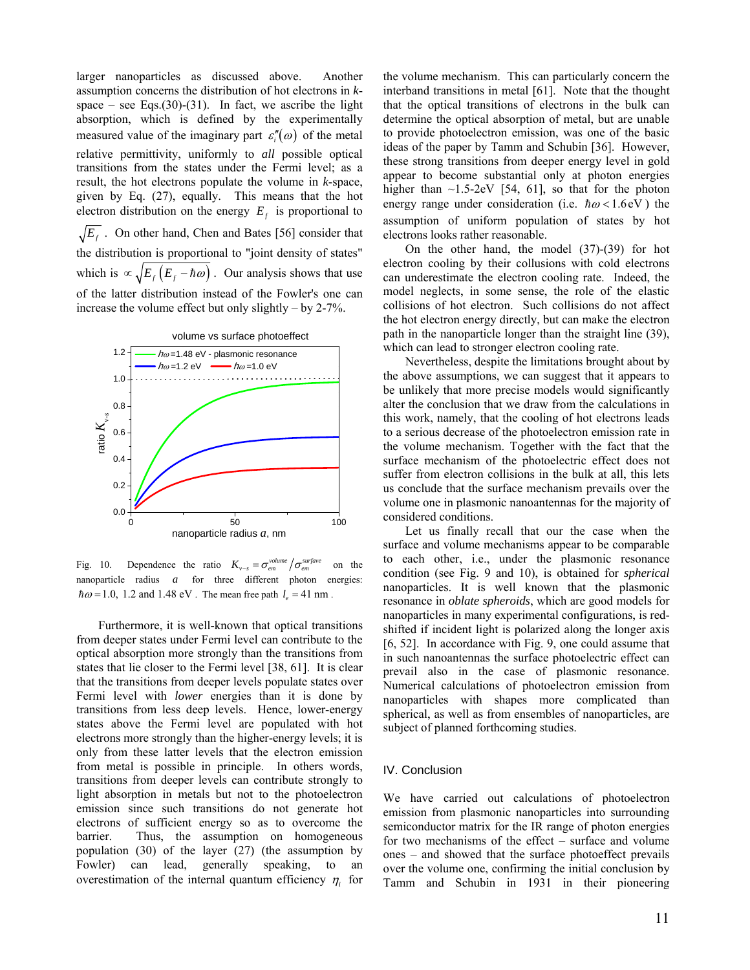larger nanoparticles as discussed above. Another assumption concerns the distribution of hot electrons in *k*space – see Eqs.(30)-(31). In fact, we ascribe the light absorption, which is defined by the experimentally measured value of the imaginary part  $\varepsilon''_i(\omega)$  of the metal relative permittivity, uniformly to *all* possible optical transitions from the states under the Fermi level; as a result, the hot electrons populate the volume in *k*-space, given by Eq. (27), equally. This means that the hot electron distribution on the energy  $E_f$  is proportional to  $\sqrt{E_f}$ . On other hand, Chen and Bates [56] consider that the distribution is proportional to "joint density of states" which is  $\propto \sqrt{E_f (E_f - \hbar \omega)}$ . Our analysis shows that use of the latter distribution instead of the Fowler's one can increase the volume effect but only slightly – by 2-7%.



Fig. 10. Dependence the ratio  $K_{v-s} = \sigma_{em}^{volume} / \sigma_{em}^{surface}$  on the nanoparticle radius *a* for three different photon energies:  $\hbar \omega = 1.0$ , 1.2 and 1.48 eV. The mean free path  $l<sub>e</sub> = 41$  nm.

Furthermore, it is well-known that optical transitions from deeper states under Fermi level can contribute to the optical absorption more strongly than the transitions from states that lie closer to the Fermi level [38, 61]. It is clear that the transitions from deeper levels populate states over Fermi level with *lower* energies than it is done by transitions from less deep levels. Hence, lower-energy states above the Fermi level are populated with hot electrons more strongly than the higher-energy levels; it is only from these latter levels that the electron emission from metal is possible in principle. In others words, transitions from deeper levels can contribute strongly to light absorption in metals but not to the photoelectron emission since such transitions do not generate hot electrons of sufficient energy so as to overcome the barrier. Thus, the assumption on homogeneous population (30) of the layer (27) (the assumption by Fowler) can lead, generally speaking, to an overestimation of the internal quantum efficiency  $\eta_i$  for

the volume mechanism. This can particularly concern the interband transitions in metal [61]. Note that the thought that the optical transitions of electrons in the bulk can determine the optical absorption of metal, but are unable to provide photoelectron emission, was one of the basic ideas of the paper by Tamm and Schubin [36]. However, these strong transitions from deeper energy level in gold appear to become substantial only at photon energies higher than  $\sim$ 1.5-2eV [54, 61], so that for the photon energy range under consideration (i.e.  $\hbar \omega < 1.6$ eV) the assumption of uniform population of states by hot electrons looks rather reasonable.

On the other hand, the model (37)-(39) for hot electron cooling by their collusions with cold electrons can underestimate the electron cooling rate. Indeed, the model neglects, in some sense, the role of the elastic collisions of hot electron. Such collisions do not affect the hot electron energy directly, but can make the electron path in the nanoparticle longer than the straight line (39), which can lead to stronger electron cooling rate.

Nevertheless, despite the limitations brought about by the above assumptions, we can suggest that it appears to be unlikely that more precise models would significantly alter the conclusion that we draw from the calculations in this work, namely, that the cooling of hot electrons leads to a serious decrease of the photoelectron emission rate in the volume mechanism. Together with the fact that the surface mechanism of the photoelectric effect does not suffer from electron collisions in the bulk at all, this lets us conclude that the surface mechanism prevails over the volume one in plasmonic nanoantennas for the majority of considered conditions.

Let us finally recall that our the case when the surface and volume mechanisms appear to be comparable to each other, i.e., under the plasmonic resonance condition (see Fig. 9 and 10), is obtained for *spherical*  nanoparticles. It is well known that the plasmonic resonance in *oblate spheroids*, which are good models for nanoparticles in many experimental configurations, is redshifted if incident light is polarized along the longer axis [6, 52]. In accordance with Fig. 9, one could assume that in such nanoantennas the surface photoelectric effect can prevail also in the case of plasmonic resonance. Numerical calculations of photoelectron emission from nanoparticles with shapes more complicated than spherical, as well as from ensembles of nanoparticles, are subject of planned forthcoming studies.

## IV. Conclusion

We have carried out calculations of photoelectron emission from plasmonic nanoparticles into surrounding semiconductor matrix for the IR range of photon energies for two mechanisms of the effect – surface and volume ones – and showed that the surface photoeffect prevails over the volume one, confirming the initial conclusion by Tamm and Schubin in 1931 in their pioneering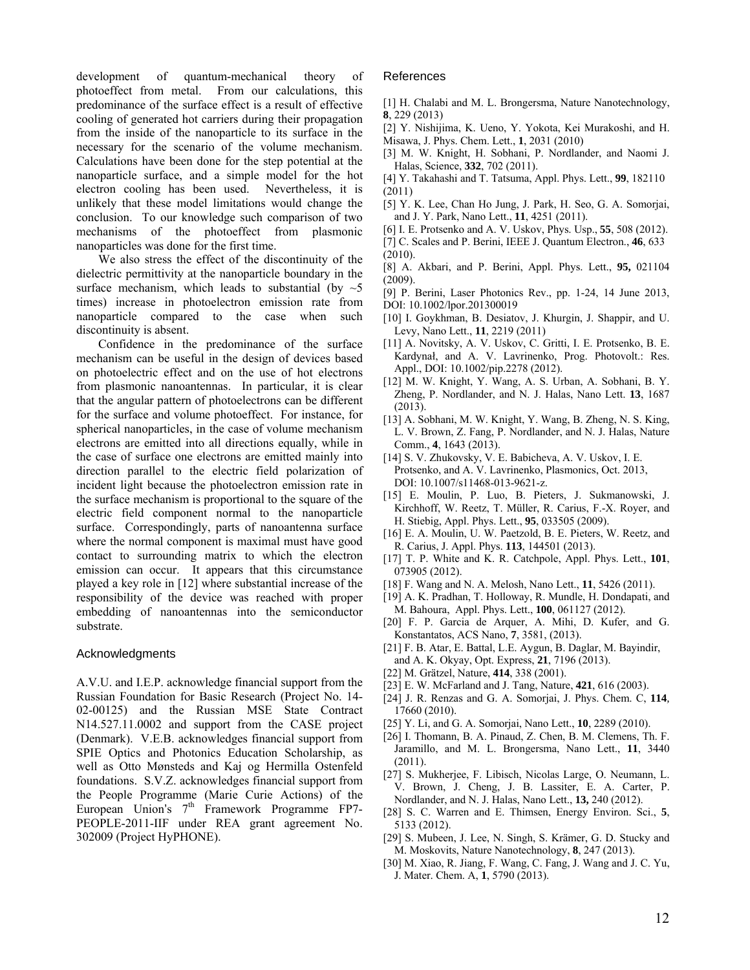development of quantum-mechanical theory of photoeffect from metal. From our calculations, this predominance of the surface effect is a result of effective cooling of generated hot carriers during their propagation from the inside of the nanoparticle to its surface in the necessary for the scenario of the volume mechanism. Calculations have been done for the step potential at the nanoparticle surface, and a simple model for the hot electron cooling has been used. Nevertheless, it is unlikely that these model limitations would change the conclusion. To our knowledge such comparison of two mechanisms of the photoeffect from plasmonic nanoparticles was done for the first time.

We also stress the effect of the discontinuity of the dielectric permittivity at the nanoparticle boundary in the surface mechanism, which leads to substantial (by  $\sim$  5 times) increase in photoelectron emission rate from nanoparticle compared to the case when such discontinuity is absent.

Confidence in the predominance of the surface mechanism can be useful in the design of devices based on photoelectric effect and on the use of hot electrons from plasmonic nanoantennas. In particular, it is clear that the angular pattern of photoelectrons can be different for the surface and volume photoeffect. For instance, for spherical nanoparticles, in the case of volume mechanism electrons are emitted into all directions equally, while in the case of surface one electrons are emitted mainly into direction parallel to the electric field polarization of incident light because the photoelectron emission rate in the surface mechanism is proportional to the square of the electric field component normal to the nanoparticle surface. Correspondingly, parts of nanoantenna surface where the normal component is maximal must have good contact to surrounding matrix to which the electron emission can occur. It appears that this circumstance played a key role in [12] where substantial increase of the responsibility of the device was reached with proper embedding of nanoantennas into the semiconductor substrate.

## Acknowledgments

A.V.U. and I.E.P. acknowledge financial support from the Russian Foundation for Basic Research (Project No. 14- 02-00125) and the Russian MSE State Contract N14.527.11.0002 and support from the CASE project (Denmark). V.E.B. acknowledges financial support from SPIE Optics and Photonics Education Scholarship, as well as Otto Mønsteds and Kaj og Hermilla Ostenfeld foundations. S.V.Z. acknowledges financial support from the People Programme (Marie Curie Actions) of the European Union's 7<sup>th</sup> Framework Programme FP7-PEOPLE-2011-IIF under REA grant agreement No. 302009 (Project HyPHONE).

#### References

- [1] H. Chalabi and M. L. Brongersma, Nature Nanotechnology, **8**, 229 (2013)
- [2] Y. Nishijima, K. Ueno, Y. Yokota, Kei Murakoshi, and H. Misawa, J. Phys. Chem. Lett., **1**, 2031 (2010)
- [3] M. W. Knight, H. Sobhani, P. Nordlander, and Naomi J. Halas, Science, **332**, 702 (2011).
- [4] Y. Takahashi and T. Tatsuma, Appl. Phys. Lett., **99**, 182110 (2011)
- [5] Y. K. Lee, Chan Ho Jung, J. Park, H. Seo, G. A. Somorjai, and J. Y. Park, Nano Lett., **11**, 4251 (2011).
- [6] I. E. Protsenko and A. V. Uskov, Phys. Usp., **55**, 508 (2012).
- [7] C. Scales and P. Berini, IEEE J. Quantum Electron., **46**, 633 (2010).
- [8] A. Akbari, and P. Berini, Appl. Phys. Lett., **95,** 021104 (2009).
- [9] P. Berini, Laser Photonics Rev., pp. 1-24, 14 June 2013, DOI: 10.1002/lpor.201300019
- [10] I. Goykhman, B. Desiatov, J. Khurgin, J. Shappir, and U. Levy, Nano Lett., **11**, 2219 (2011)
- [11] A. Novitsky, A. V. Uskov, C. Gritti, I. E. Protsenko, B. E. Kardynał, and A. V. Lavrinenko, Prog. Photovolt.: Res. Appl., DOI: 10.1002/pip.2278 (2012).
- [12] M. W. Knight, Y. Wang, A. S. Urban, A. Sobhani, B. Y. Zheng, P. Nordlander, and N. J. Halas, Nano Lett. **13**, 1687 (2013).
- [13] A. Sobhani, M. W. Knight, Y. Wang, B. Zheng, N. S. King, L. V. Brown, Z. Fang, P. Nordlander, and N. J. Halas, Nature Comm., **4**, 1643 (2013).
- [14] S. V. Zhukovsky, V. E. Babicheva, A. V. Uskov, I. E. Protsenko, and A. V. Lavrinenko, Plasmonics, Oct. 2013, DOI: 10.1007/s11468-013-9621-z.
- [15] E. Moulin, P. Luo, B. Pieters, J. Sukmanowski, J. Kirchhoff, W. Reetz, T. Müller, R. Carius, F.-X. Royer, and H. Stiebig, Appl. Phys. Lett., **95**, 033505 (2009).
- [16] E. A. Moulin, U. W. Paetzold, B. E. Pieters, W. Reetz, and R. Carius, J. Appl. Phys. **113**, 144501 (2013).
- [17] T. P. White and K. R. Catchpole, Appl. Phys. Lett., **101**, 073905 (2012).
- [18] F. Wang and N. A. Melosh, Nano Lett., **11**, 5426 (2011).
- [19] A. K. Pradhan, T. Holloway, R. Mundle, H. Dondapati, and M. Bahoura, Appl. Phys. Lett., **100**, 061127 (2012).
- [20] F. P. Garcia de Arquer, A. Mihi, D. Kufer, and G. Konstantatos, ACS Nano, **7**, 3581, (2013).
- [21] F. B. Atar, E. Battal, L.E. Aygun, B. Daglar, M. Bayindir, and A. K. Okyay, Opt. Express, **21**, 7196 (2013).
- [22] M. Grätzel, Nature, **414**, 338 (2001).
- [23] E. W. McFarland and J. Tang, Nature, **421**, 616 (2003).
- [24] J. R. Renzas and G. A. Somorjai, J. Phys. Chem. C, **114***,*  17660 (2010).
- [25] Y. Li, and G. A. Somorjai, Nano Lett., **10**, 2289 (2010).
- [26] I. Thomann, B. A. Pinaud, Z. Chen, B. M. Clemens, Th. F. Jaramillo, and M. L. Brongersma, Nano Lett., **11**, 3440 (2011).
- [27] S. Mukherjee, F. Libisch, Nicolas Large, O. Neumann, L. V. Brown, J. Cheng, J. B. Lassiter, E. A. Carter, P. Nordlander, and N. J. Halas, Nano Lett., **13,** 240 (2012).
- [28] S. C. Warren and E. Thimsen, Energy Environ. Sci., **5**, 5133 (2012).
- [29] S. Mubeen, J. Lee, N. Singh, S. Krämer, G. D. Stucky and M. Moskovits, Nature Nanotechnology, **8**, 247 (2013).
- [30] M. Xiao, R. Jiang, F. Wang, C. Fang, J. Wang and J. C. Yu, J. Mater. Chem. A, **1**, 5790 (2013).